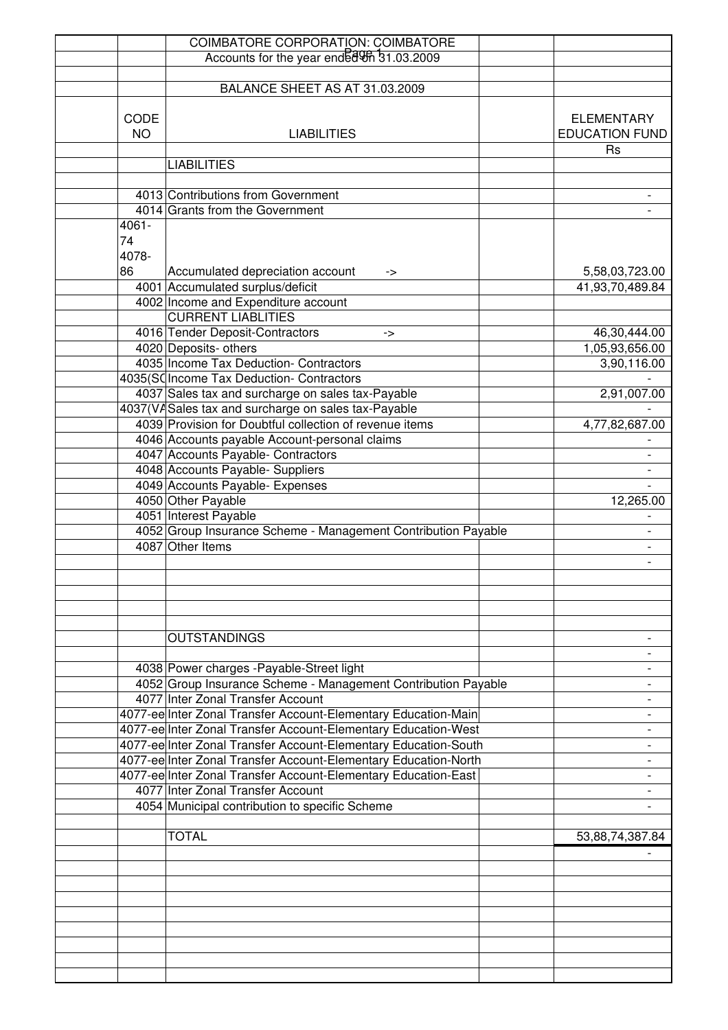|           | <b>COIMBATORE CORPORATION: COIMBATORE</b>                       |                       |
|-----------|-----------------------------------------------------------------|-----------------------|
|           | Accounts for the year ended 9th 31.03.2009                      |                       |
|           |                                                                 |                       |
|           | BALANCE SHEET AS AT 31.03.2009                                  |                       |
|           |                                                                 |                       |
| CODE      |                                                                 | <b>ELEMENTARY</b>     |
| <b>NO</b> | <b>LIABILITIES</b>                                              | <b>EDUCATION FUND</b> |
|           |                                                                 | <b>Rs</b>             |
|           | <b>LIABILITIES</b>                                              |                       |
|           |                                                                 |                       |
|           | 4013 Contributions from Government                              |                       |
|           | 4014 Grants from the Government                                 |                       |
| $4061 -$  |                                                                 |                       |
| 74        |                                                                 |                       |
| 4078-     |                                                                 |                       |
| 86        | Accumulated depreciation account<br>->                          | 5,58,03,723.00        |
|           | 4001 Accumulated surplus/deficit                                | 41,93,70,489.84       |
|           | 4002 Income and Expenditure account                             |                       |
|           | <b>CURRENT LIABLITIES</b>                                       |                       |
|           | 4016 Tender Deposit-Contractors                                 |                       |
|           | -><br>4020 Deposits- others                                     | 46,30,444.00          |
|           |                                                                 | 1,05,93,656.00        |
|           | 4035 Income Tax Deduction- Contractors                          | 3,90,116.00           |
|           | 4035(SC Income Tax Deduction- Contractors                       |                       |
|           | 4037 Sales tax and surcharge on sales tax-Payable               | 2,91,007.00           |
|           | 4037(VA Sales tax and surcharge on sales tax-Payable            |                       |
|           | 4039 Provision for Doubtful collection of revenue items         | 4,77,82,687.00        |
|           | 4046 Accounts payable Account-personal claims                   |                       |
|           | 4047 Accounts Payable- Contractors                              |                       |
|           | 4048 Accounts Payable- Suppliers                                | -                     |
|           | 4049 Accounts Payable- Expenses                                 |                       |
|           | 4050 Other Payable                                              | 12,265.00             |
|           | 4051 Interest Payable                                           |                       |
|           | 4052 Group Insurance Scheme - Management Contribution Payable   |                       |
|           | 4087 Other Items                                                |                       |
|           |                                                                 |                       |
|           |                                                                 |                       |
|           |                                                                 |                       |
|           |                                                                 |                       |
|           |                                                                 |                       |
|           | <b>OUTSTANDINGS</b>                                             |                       |
|           |                                                                 |                       |
|           | 4038 Power charges - Payable-Street light                       |                       |
|           | 4052 Group Insurance Scheme - Management Contribution Payable   |                       |
|           | 4077 Inter Zonal Transfer Account                               |                       |
|           | 4077-ee Inter Zonal Transfer Account-Elementary Education-Main  |                       |
|           | 4077-ee Inter Zonal Transfer Account-Elementary Education-West  |                       |
|           | 4077-ee Inter Zonal Transfer Account-Elementary Education-South |                       |
|           | 4077-ee Inter Zonal Transfer Account-Elementary Education-North |                       |
|           | 4077-ee Inter Zonal Transfer Account-Elementary Education-East  |                       |
|           | 4077 Inter Zonal Transfer Account                               |                       |
|           | 4054 Municipal contribution to specific Scheme                  |                       |
|           |                                                                 |                       |
|           | <b>TOTAL</b>                                                    | 53,88,74,387.84       |
|           |                                                                 |                       |
|           |                                                                 |                       |
|           |                                                                 |                       |
|           |                                                                 |                       |
|           |                                                                 |                       |
|           |                                                                 |                       |
|           |                                                                 |                       |
|           |                                                                 |                       |
|           |                                                                 |                       |
|           |                                                                 |                       |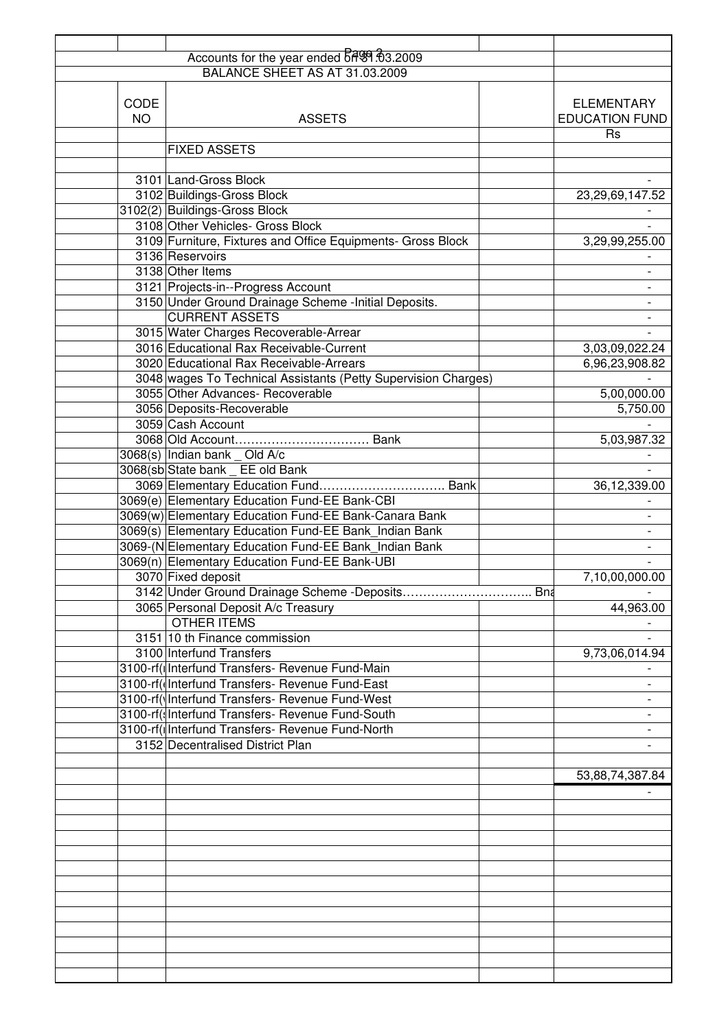|           | Accounts for the year ended 6 8 3.2009                         |     |                       |
|-----------|----------------------------------------------------------------|-----|-----------------------|
|           |                                                                |     |                       |
|           |                                                                |     |                       |
| CODE      |                                                                |     | <b>ELEMENTARY</b>     |
| <b>NO</b> | <b>ASSETS</b>                                                  |     | <b>EDUCATION FUND</b> |
|           |                                                                |     | <b>Rs</b>             |
|           | <b>FIXED ASSETS</b>                                            |     |                       |
|           |                                                                |     |                       |
|           | 3101 Land-Gross Block                                          |     |                       |
|           | 3102 Buildings-Gross Block                                     |     | 23,29,69,147.52       |
|           | 3102(2) Buildings-Gross Block                                  |     |                       |
|           | 3108 Other Vehicles- Gross Block                               |     |                       |
|           | 3109 Furniture, Fixtures and Office Equipments- Gross Block    |     | 3,29,99,255.00        |
|           | 3136 Reservoirs                                                |     |                       |
|           | 3138 Other Items                                               |     |                       |
|           | 3121 Projects-in--Progress Account                             |     |                       |
|           | 3150 Under Ground Drainage Scheme - Initial Deposits.          |     |                       |
|           | <b>CURRENT ASSETS</b>                                          |     |                       |
|           | 3015 Water Charges Recoverable-Arrear                          |     |                       |
|           | 3016 Educational Rax Receivable-Current                        |     | 3,03,09,022.24        |
|           | 3020 Educational Rax Receivable-Arrears                        |     | 6,96,23,908.82        |
|           | 3048 wages To Technical Assistants (Petty Supervision Charges) |     |                       |
|           | 3055 Other Advances- Recoverable                               |     | 5,00,000.00           |
|           | 3056 Deposits-Recoverable                                      |     | 5,750.00              |
|           | 3059 Cash Account                                              |     |                       |
|           |                                                                |     | 5,03,987.32           |
|           | $3068(s)$ Indian bank _ Old A/c                                |     |                       |
|           | 3068(sb State bank EE old Bank                                 |     |                       |
|           | 3069 Elementary Education Fund Bank                            |     | 36,12,339.00          |
|           | 3069(e) Elementary Education Fund-EE Bank-CBI                  |     |                       |
|           | 3069(w) Elementary Education Fund-EE Bank-Canara Bank          |     |                       |
|           | 3069(s) Elementary Education Fund-EE Bank Indian Bank          |     |                       |
|           | 3069-(N Elementary Education Fund-EE Bank_Indian Bank          |     |                       |
|           | 3069(n) Elementary Education Fund-EE Bank-UBI                  |     |                       |
|           | 3070 Fixed deposit                                             |     | 7,10,00,000.00        |
|           |                                                                | Bna |                       |
|           | 3065 Personal Deposit A/c Treasury                             |     | 44,963.00             |
|           | <b>OTHER ITEMS</b>                                             |     |                       |
|           | 3151 10 th Finance commission                                  |     |                       |
|           | 3100 Interfund Transfers                                       |     | 9,73,06,014.94        |
|           | 3100-rf(  Interfund Transfers- Revenue Fund-Main               |     |                       |
|           | 3100-rf((Interfund Transfers- Revenue Fund-East                |     |                       |
|           | 3100-rf(VInterfund Transfers- Revenue Fund-West                |     |                       |
|           | 3100-rf(s Interfund Transfers- Revenue Fund-South              |     |                       |
|           | 3100-rf(t Interfund Transfers- Revenue Fund-North              |     |                       |
|           | 3152 Decentralised District Plan                               |     |                       |
|           |                                                                |     |                       |
|           |                                                                |     | 53,88,74,387.84       |
|           |                                                                |     |                       |
|           |                                                                |     |                       |
|           |                                                                |     |                       |
|           |                                                                |     |                       |
|           |                                                                |     |                       |
|           |                                                                |     |                       |
|           |                                                                |     |                       |
|           |                                                                |     |                       |
|           |                                                                |     |                       |
|           |                                                                |     |                       |
|           |                                                                |     |                       |
|           |                                                                |     |                       |
|           |                                                                |     |                       |